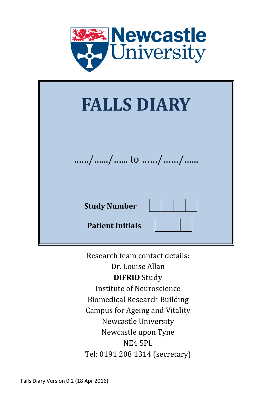

| <b>FALLS DIARY</b>                             |  |  |  |  |  |  |
|------------------------------------------------|--|--|--|--|--|--|
| // to //                                       |  |  |  |  |  |  |
| <b>Study Number</b><br><b>Patient Initials</b> |  |  |  |  |  |  |

Research team contact details:

Dr. Louise Allan **DIFRID** Study Institute of Neuroscience Biomedical Research Building Campus for Ageing and Vitality Newcastle University Newcastle upon Tyne NE4 5PL Tel: 0191 208 1314 (secretary)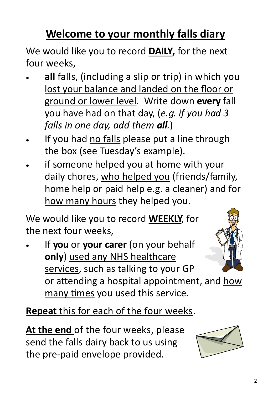# **Welcome to your monthly falls diary**

We would like you to record **DAILY,** for the next four weeks,

- **all** falls, (including a slip or trip) in which you lost your balance and landed on the floor or ground or lower level. Write down **every** fall you have had on that day, (*e.g. if you had 3 falls in one day, add them all.*)
- If you had no falls please put a line through the box (see Tuesday's example).
- if someone helped you at home with your daily chores, who helped you (friends/family, home help or paid help e.g. a cleaner) and for how many hours they helped you.

We would like you to record **WEEKLY**, for the next four weeks,

 If **you** or **your carer** (on your behalf **only**) used any NHS healthcare services, such as talking to your GP



or attending a hospital appointment, and how many times you used this service.

**Repeat** this for each of the four weeks.

**At the end** of the four weeks, please send the falls dairy back to us using the pre-paid envelope provided.

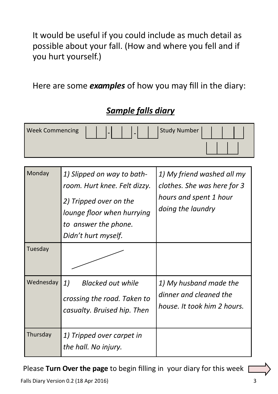It would be useful if you could include as much detail as possible about your fall. (How and where you fell and if you hurt yourself.)

Here are some *examples* of how you may fill in the diary:

| <b>Week Commencing</b> |                                                                                                                                                                   | <b>Study Number</b>                                                                                      |
|------------------------|-------------------------------------------------------------------------------------------------------------------------------------------------------------------|----------------------------------------------------------------------------------------------------------|
| Monday                 | 1) Slipped on way to bath-<br>room. Hurt knee. Felt dizzy.<br>2) Tripped over on the<br>lounge floor when hurrying<br>to answer the phone.<br>Didn't hurt myself. | 1) My friend washed all my<br>clothes. She was here for 3<br>hours and spent 1 hour<br>doing the laundry |
| Tuesday                |                                                                                                                                                                   |                                                                                                          |
| Wednesday              | 1)<br><b>Blacked out while</b><br>crossing the road. Taken to<br>casualty. Bruised hip. Then                                                                      | 1) My husband made the<br>dinner and cleaned the<br>house. It took him 2 hours.                          |
| Thursday               | 1) Tripped over carpet in<br>the hall. No injury.                                                                                                                 |                                                                                                          |

### *Sample falls diary*

Please **Turn Over the page** to begin filling in your diary for this week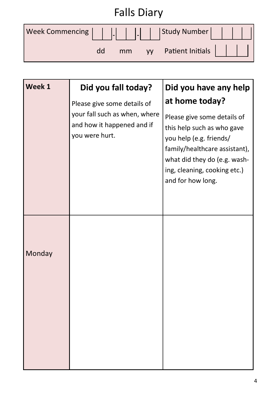| <b>Falls Diary</b>                               |    |  |  |                        |  |  |
|--------------------------------------------------|----|--|--|------------------------|--|--|
| Week Commencing                     Study Number |    |  |  |                        |  |  |
|                                                  | dd |  |  | mm yy Patient Initials |  |  |

| Week 1 | Did you fall today?                                                           | Did you have any help                                                                                                                                                                                      |
|--------|-------------------------------------------------------------------------------|------------------------------------------------------------------------------------------------------------------------------------------------------------------------------------------------------------|
|        | Please give some details of                                                   | at home today?                                                                                                                                                                                             |
|        | your fall such as when, where<br>and how it happened and if<br>you were hurt. | Please give some details of<br>this help such as who gave<br>you help (e.g. friends/<br>family/healthcare assistant),<br>what did they do (e.g. wash-<br>ing, cleaning, cooking etc.)<br>and for how long. |
| Monday |                                                                               |                                                                                                                                                                                                            |
|        |                                                                               |                                                                                                                                                                                                            |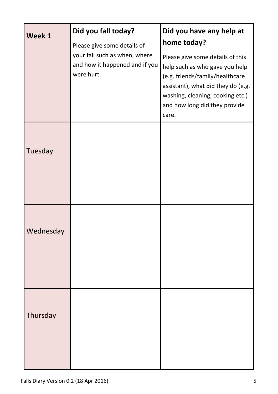| Week 1    | Did you fall today?                                                                                          | Did you have any help at<br>home today?                                                                                                                                                                                   |
|-----------|--------------------------------------------------------------------------------------------------------------|---------------------------------------------------------------------------------------------------------------------------------------------------------------------------------------------------------------------------|
|           | Please give some details of<br>your fall such as when, where<br>and how it happened and if you<br>were hurt. | Please give some details of this<br>help such as who gave you help<br>(e.g. friends/family/healthcare<br>assistant), what did they do (e.g.<br>washing, cleaning, cooking etc.)<br>and how long did they provide<br>care. |
| Tuesday   |                                                                                                              |                                                                                                                                                                                                                           |
| Wednesday |                                                                                                              |                                                                                                                                                                                                                           |
| Thursday  |                                                                                                              |                                                                                                                                                                                                                           |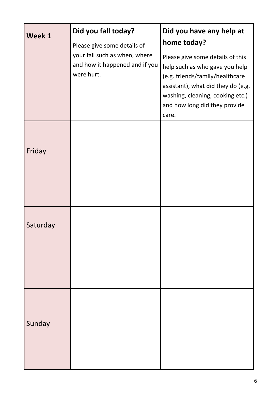| Week 1   | Did you fall today?<br>Please give some details of<br>your fall such as when, where<br>and how it happened and if you<br>were hurt. | Did you have any help at<br>home today?<br>Please give some details of this<br>help such as who gave you help<br>(e.g. friends/family/healthcare<br>assistant), what did they do (e.g.<br>washing, cleaning, cooking etc.)<br>and how long did they provide<br>care. |
|----------|-------------------------------------------------------------------------------------------------------------------------------------|----------------------------------------------------------------------------------------------------------------------------------------------------------------------------------------------------------------------------------------------------------------------|
| Friday   |                                                                                                                                     |                                                                                                                                                                                                                                                                      |
| Saturday |                                                                                                                                     |                                                                                                                                                                                                                                                                      |
| Sunday   |                                                                                                                                     |                                                                                                                                                                                                                                                                      |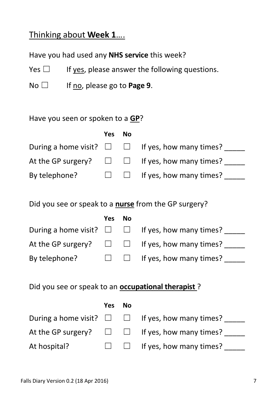#### Thinking about **Week 1**….

Have you had used any **NHS service** this week?

Yes  $\Box$  If yes, please answer the following questions.

No ☐ If no, please go to **Page 9**.

Have you seen or spoken to a **GP**?

|               | Yes No |                                                                  |
|---------------|--------|------------------------------------------------------------------|
|               |        | During a home visit? $\square$ $\square$ If yes, how many times? |
|               |        | At the GP surgery? $\square$ $\square$ If yes, how many times?   |
| By telephone? |        | $\Box$ If yes, how many times?                                   |

Did you see or speak to a **nurse** from the GP surgery?

|               | Yes No |                                                                  |
|---------------|--------|------------------------------------------------------------------|
|               |        | During a home visit? $\square$ $\square$ If yes, how many times? |
|               |        | At the GP surgery? $\square$ $\square$ If yes, how many times?   |
| By telephone? |        | $\Box$ If yes, how many times?                                   |

|              | Yes No |                                                                  |
|--------------|--------|------------------------------------------------------------------|
|              |        | During a home visit? $\square$ $\square$ If yes, how many times? |
|              |        | At the GP surgery? $\square$ $\square$ If yes, how many times?   |
| At hospital? |        | $\Box$ If yes, how many times?                                   |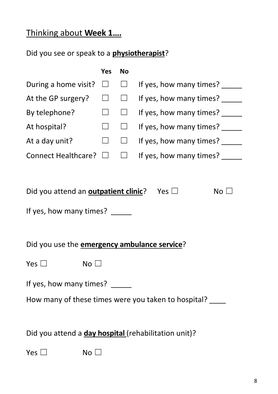### Thinking about **Week 1….**

|                                                                                            | Yes    | <b>No</b> |                                                     |  |  |
|--------------------------------------------------------------------------------------------|--------|-----------|-----------------------------------------------------|--|--|
| During a home visit?                                                                       | ⊔      | $\Box$    | If yes, how many times?                             |  |  |
| At the GP surgery?                                                                         | $\Box$ | $\Box$    | If yes, how many times?                             |  |  |
| By telephone?                                                                              | $\Box$ | $\Box$    | If yes, how many times?                             |  |  |
| At hospital?                                                                               | $\Box$ | $\Box$    | If yes, how many times?                             |  |  |
| At a day unit?                                                                             | $\Box$ | $\Box$    | If yes, how many times?                             |  |  |
| <b>Connect Healthcare?</b>                                                                 | $\Box$ | $\Box$    | If yes, how many times?                             |  |  |
| Did you attend an outpatient clinic? Yes $\Box$<br>No $\square$<br>If yes, how many times? |        |           |                                                     |  |  |
| Did you use the <b>emergency ambulance service</b> ?                                       |        |           |                                                     |  |  |
| Yes $\square$<br>No <sub>1</sub>                                                           |        |           |                                                     |  |  |
| If yes, how many times?                                                                    |        |           |                                                     |  |  |
|                                                                                            |        |           | How many of these times were you taken to hospital? |  |  |
| Did you attend a day hospital (rehabilitation unit)?                                       |        |           |                                                     |  |  |
| Yes [<br>No l                                                                              |        |           |                                                     |  |  |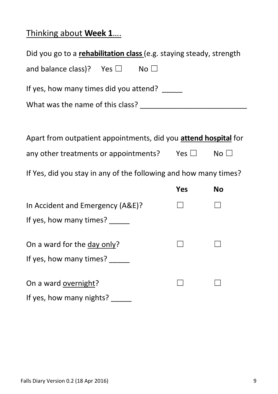# Thinking about **Week 1**….

| Did you go to a rehabilitation class (e.g. staying steady, strength |     |              |  |  |  |  |  |
|---------------------------------------------------------------------|-----|--------------|--|--|--|--|--|
| and balance class)? Yes $\square$<br>No $\square$                   |     |              |  |  |  |  |  |
| If yes, how many times did you attend?                              |     |              |  |  |  |  |  |
|                                                                     |     |              |  |  |  |  |  |
|                                                                     |     |              |  |  |  |  |  |
| Apart from outpatient appointments, did you attend hospital for     |     |              |  |  |  |  |  |
| any other treatments or appointments? Yes $\square$                 |     | No $\square$ |  |  |  |  |  |
| If Yes, did you stay in any of the following and how many times?    |     |              |  |  |  |  |  |
|                                                                     | Yes | <b>No</b>    |  |  |  |  |  |
| In Accident and Emergency (A&E)?                                    |     |              |  |  |  |  |  |
| If yes, how many times? _____                                       |     |              |  |  |  |  |  |
| On a ward for the day only?                                         |     |              |  |  |  |  |  |
| If yes, how many times?                                             |     |              |  |  |  |  |  |
| On a ward overnight?                                                |     |              |  |  |  |  |  |
| If yes, how many nights?                                            |     |              |  |  |  |  |  |
|                                                                     |     |              |  |  |  |  |  |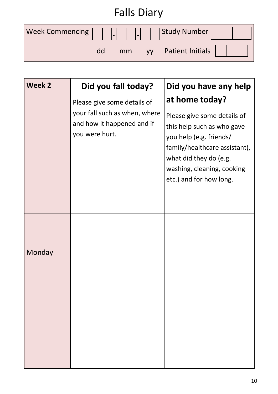| <b>Falls Diary</b> |    |    |  |                     |  |  |
|--------------------|----|----|--|---------------------|--|--|
|                    |    |    |  |                     |  |  |
|                    | dd | mm |  | yy Patient Initials |  |  |

| Week 2 | Did you fall today?                                                                                          | Did you have any help                                                                                                                                                                                                      |
|--------|--------------------------------------------------------------------------------------------------------------|----------------------------------------------------------------------------------------------------------------------------------------------------------------------------------------------------------------------------|
|        | Please give some details of<br>your fall such as when, where<br>and how it happened and if<br>you were hurt. | at home today?<br>Please give some details of<br>this help such as who gave<br>you help (e.g. friends/<br>family/healthcare assistant),<br>what did they do (e.g.<br>washing, cleaning, cooking<br>etc.) and for how long. |
| Monday |                                                                                                              |                                                                                                                                                                                                                            |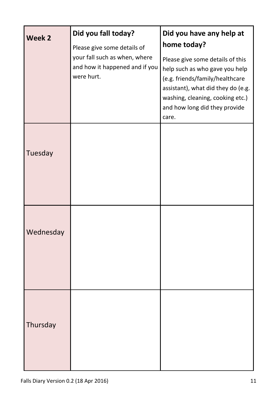| Week <sub>2</sub> | Did you fall today?<br>Please give some details of<br>your fall such as when, where<br>and how it happened and if you<br>were hurt. | Did you have any help at<br>home today?<br>Please give some details of this<br>help such as who gave you help<br>(e.g. friends/family/healthcare<br>assistant), what did they do (e.g.<br>washing, cleaning, cooking etc.) |
|-------------------|-------------------------------------------------------------------------------------------------------------------------------------|----------------------------------------------------------------------------------------------------------------------------------------------------------------------------------------------------------------------------|
|                   |                                                                                                                                     | and how long did they provide<br>care.                                                                                                                                                                                     |
| Tuesday           |                                                                                                                                     |                                                                                                                                                                                                                            |
| Wednesday         |                                                                                                                                     |                                                                                                                                                                                                                            |
| Thursday          |                                                                                                                                     |                                                                                                                                                                                                                            |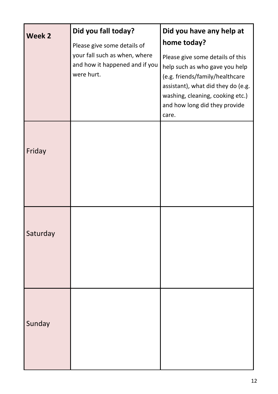| Week 2   | Did you fall today?<br>Please give some details of                            | Did you have any help at<br>home today?                                                                                                                                                                                   |
|----------|-------------------------------------------------------------------------------|---------------------------------------------------------------------------------------------------------------------------------------------------------------------------------------------------------------------------|
|          | your fall such as when, where<br>and how it happened and if you<br>were hurt. | Please give some details of this<br>help such as who gave you help<br>(e.g. friends/family/healthcare<br>assistant), what did they do (e.g.<br>washing, cleaning, cooking etc.)<br>and how long did they provide<br>care. |
| Friday   |                                                                               |                                                                                                                                                                                                                           |
| Saturday |                                                                               |                                                                                                                                                                                                                           |
| Sunday   |                                                                               |                                                                                                                                                                                                                           |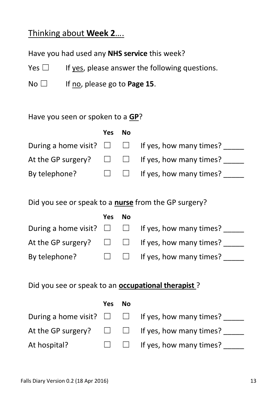#### Thinking about **Week 2**….

Have you had used any **NHS service** this week?

Yes  $\Box$  If yes, please answer the following questions.

No □ If no, please go to **Page 15**.

#### Have you seen or spoken to a **GP**?

|               | Yes No |                                                                  |
|---------------|--------|------------------------------------------------------------------|
|               |        | During a home visit? $\square$ $\square$ If yes, how many times? |
|               |        | At the GP surgery? $\square$ $\square$ If yes, how many times?   |
| By telephone? |        | $\Box$ If yes, how many times?                                   |

Did you see or speak to a **nurse** from the GP surgery?

|               | Yes | No. |                                                                  |
|---------------|-----|-----|------------------------------------------------------------------|
|               |     |     | During a home visit? $\square$ $\square$ If yes, how many times? |
|               |     |     | At the GP surgery? $\Box$ $\Box$ If yes, how many times?         |
| By telephone? |     |     | $\Box$ If yes, how many times?                                   |

|              | Yes No |                                                                  |
|--------------|--------|------------------------------------------------------------------|
|              |        | During a home visit? $\square$ $\square$ If yes, how many times? |
|              |        | At the GP surgery? $\square$ $\square$ If yes, how many times?   |
| At hospital? |        | $\Box$ If yes, how many times?                                   |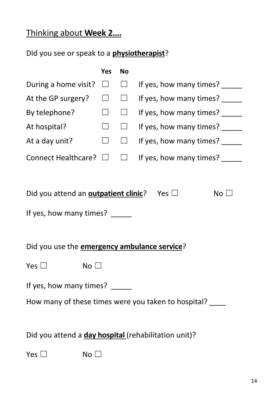# Thinking about **Week 2….**

|                                                                                          | Yes    | <b>No</b> |                                                          |
|------------------------------------------------------------------------------------------|--------|-----------|----------------------------------------------------------|
| During a home visit?                                                                     | $\Box$ | $\Box$    | If yes, how many times?                                  |
| At the GP surgery?                                                                       | $\Box$ | $\Box$    | If yes, how many times?                                  |
| By telephone?                                                                            | $\Box$ | $\Box$    | If yes, how many times?                                  |
| At hospital?                                                                             | $\Box$ | $\Box$    | If yes, how many times?                                  |
| At a day unit?                                                                           | $\Box$ | $\Box$    | If yes, how many times? _____                            |
| Connect Healthcare? □                                                                    |        | $\Box$    | If yes, how many times?                                  |
|                                                                                          |        |           |                                                          |
| Did you attend an <b>outpatient clinic</b> ? Yes $\Box$<br>If yes, how many times? _____ |        |           | No $\square$                                             |
| Did you use the <b>emergency ambulance service</b> ?                                     |        |           |                                                          |
| Yes $\square$<br>$No$ $\square$                                                          |        |           |                                                          |
| If yes, how many times?                                                                  |        |           |                                                          |
|                                                                                          |        |           | How many of these times were you taken to hospital? ____ |
|                                                                                          |        |           |                                                          |
| Did you attend a day hospital (rehabilitation unit)?                                     |        |           |                                                          |
| Yes $\square$<br>No [                                                                    |        |           |                                                          |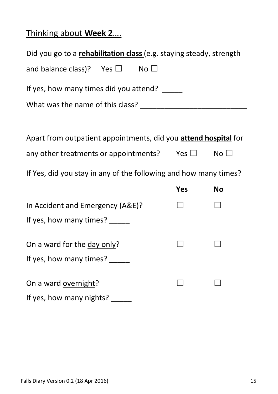# Thinking about **Week 2**….

| Did you go to a rehabilitation class (e.g. staying steady, strength |     |                 |  |  |
|---------------------------------------------------------------------|-----|-----------------|--|--|
| and balance class)? Yes $\square$<br>No $\square$                   |     |                 |  |  |
| If yes, how many times did you attend?                              |     |                 |  |  |
|                                                                     |     |                 |  |  |
|                                                                     |     |                 |  |  |
| Apart from outpatient appointments, did you attend hospital for     |     |                 |  |  |
| any other treatments or appointments? Yes $\square$                 |     | No <sub>1</sub> |  |  |
| If Yes, did you stay in any of the following and how many times?    |     |                 |  |  |
|                                                                     | Yes | <b>No</b>       |  |  |
| In Accident and Emergency (A&E)?                                    |     |                 |  |  |
| If yes, how many times?                                             |     |                 |  |  |
| On a ward for the day only?                                         |     |                 |  |  |
| If yes, how many times?                                             |     |                 |  |  |
| On a ward overnight?                                                |     |                 |  |  |
| If yes, how many nights?                                            |     |                 |  |  |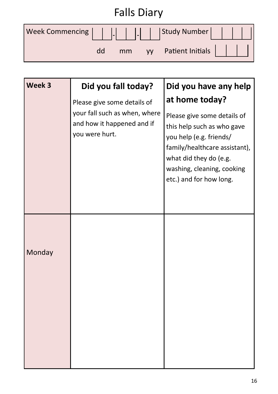| <b>Falls Diary</b> |    |    |  |                     |  |
|--------------------|----|----|--|---------------------|--|
|                    |    |    |  |                     |  |
|                    | dd | mm |  | yy Patient Initials |  |

| Week 3 | Did you fall today?                                                                                          | Did you have any help                                                                                                                                                                                                      |
|--------|--------------------------------------------------------------------------------------------------------------|----------------------------------------------------------------------------------------------------------------------------------------------------------------------------------------------------------------------------|
|        | Please give some details of<br>your fall such as when, where<br>and how it happened and if<br>you were hurt. | at home today?<br>Please give some details of<br>this help such as who gave<br>you help (e.g. friends/<br>family/healthcare assistant),<br>what did they do (e.g.<br>washing, cleaning, cooking<br>etc.) and for how long. |
| Monday |                                                                                                              |                                                                                                                                                                                                                            |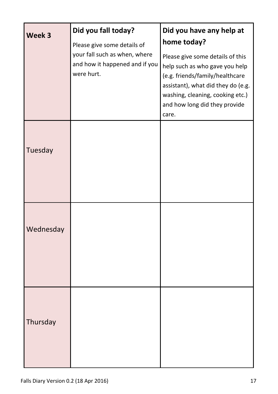| Week 3    | Did you fall today?<br>Please give some details of                            | Did you have any help at<br>home today?                                                                                                                                                                                   |
|-----------|-------------------------------------------------------------------------------|---------------------------------------------------------------------------------------------------------------------------------------------------------------------------------------------------------------------------|
|           | your fall such as when, where<br>and how it happened and if you<br>were hurt. | Please give some details of this<br>help such as who gave you help<br>(e.g. friends/family/healthcare<br>assistant), what did they do (e.g.<br>washing, cleaning, cooking etc.)<br>and how long did they provide<br>care. |
| Tuesday   |                                                                               |                                                                                                                                                                                                                           |
| Wednesday |                                                                               |                                                                                                                                                                                                                           |
| Thursday  |                                                                               |                                                                                                                                                                                                                           |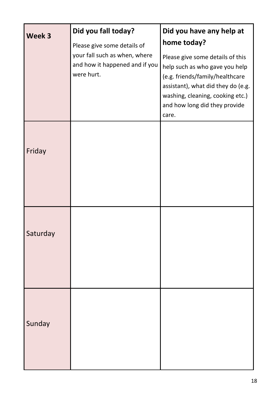| Week 3   | Did you fall today?<br>Please give some details of                            | Did you have any help at<br>home today?                                                                                                                                                                                   |
|----------|-------------------------------------------------------------------------------|---------------------------------------------------------------------------------------------------------------------------------------------------------------------------------------------------------------------------|
|          | your fall such as when, where<br>and how it happened and if you<br>were hurt. | Please give some details of this<br>help such as who gave you help<br>(e.g. friends/family/healthcare<br>assistant), what did they do (e.g.<br>washing, cleaning, cooking etc.)<br>and how long did they provide<br>care. |
| Friday   |                                                                               |                                                                                                                                                                                                                           |
| Saturday |                                                                               |                                                                                                                                                                                                                           |
| Sunday   |                                                                               |                                                                                                                                                                                                                           |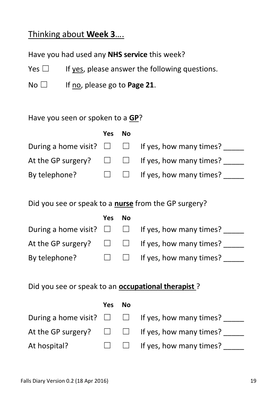#### Thinking about **Week 3**….

Have you had used any **NHS service** this week?

Yes  $\Box$  If yes, please answer the following questions.

No □ If no, please go to **Page 21**.

Have you seen or spoken to a **GP**?

|               | Yes No |                                                                  |
|---------------|--------|------------------------------------------------------------------|
|               |        | During a home visit? $\square$ $\square$ If yes, how many times? |
|               |        | At the GP surgery? $\square$ $\square$ If yes, how many times?   |
| By telephone? |        | $\Box$ If yes, how many times?                                   |

Did you see or speak to a **nurse** from the GP surgery?

|               | Yes No |                                                                  |
|---------------|--------|------------------------------------------------------------------|
|               |        | During a home visit? $\square$ $\square$ If yes, how many times? |
|               |        | At the GP surgery? $\square$ $\square$ If yes, how many times?   |
| By telephone? |        | $\Box$ If yes, how many times?                                   |

|              | Yes No |                                                                  |
|--------------|--------|------------------------------------------------------------------|
|              |        | During a home visit? $\square$ $\square$ If yes, how many times? |
|              |        | At the GP surgery? $\square$ $\square$ If yes, how many times?   |
| At hospital? |        | $\Box$ If yes, how many times?                                   |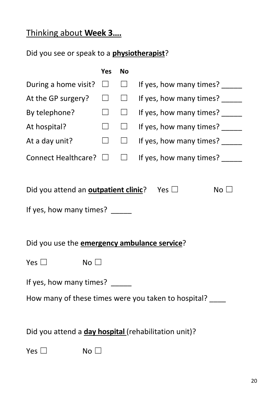# Thinking about **Week 3….**

|                                                         | Yes    | <b>No</b> |                                                     |
|---------------------------------------------------------|--------|-----------|-----------------------------------------------------|
| During a home visit?                                    | $\Box$ | $\Box$    | If yes, how many times?                             |
| At the GP surgery?                                      | $\Box$ | $\Box$    | If yes, how many times?                             |
| By telephone?                                           | $\Box$ | $\Box$    | If yes, how many times?                             |
| At hospital?                                            | $\Box$ | $\Box$    | If yes, how many times?                             |
| At a day unit?                                          | $\Box$ | $\Box$    | If yes, how many times?                             |
| Connect Healthcare? □                                   |        | $\Box$    | If yes, how many times?                             |
|                                                         |        |           |                                                     |
| Did you attend an <b>outpatient clinic</b> ? Yes $\Box$ |        |           | No <sub>1</sub>                                     |
| If yes, how many times? _____                           |        |           |                                                     |
|                                                         |        |           |                                                     |
| Did you use the <b>emergency ambulance service</b> ?    |        |           |                                                     |
| Yes $\Box$<br>No $\square$                              |        |           |                                                     |
| If yes, how many times?                                 |        |           |                                                     |
|                                                         |        |           | How many of these times were you taken to hospital? |
|                                                         |        |           |                                                     |
| Did you attend a day hospital (rehabilitation unit)?    |        |           |                                                     |
| Yes $\Box$<br>No $\square$                              |        |           |                                                     |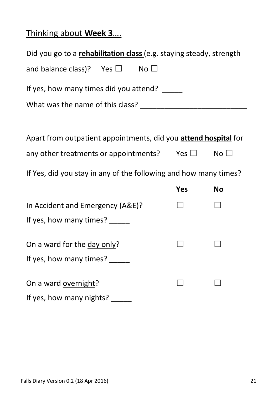# Thinking about **Week 3**….

| Did you go to a rehabilitation class (e.g. staying steady, strength |            |           |  |  |
|---------------------------------------------------------------------|------------|-----------|--|--|
| and balance class)? Yes $\square$ No $\square$                      |            |           |  |  |
| If yes, how many times did you attend?                              |            |           |  |  |
|                                                                     |            |           |  |  |
|                                                                     |            |           |  |  |
| Apart from outpatient appointments, did you attend hospital for     |            |           |  |  |
| any other treatments or appointments? Yes $\square$ No $\square$    |            |           |  |  |
| If Yes, did you stay in any of the following and how many times?    |            |           |  |  |
|                                                                     | <b>Yes</b> | <b>No</b> |  |  |
| In Accident and Emergency (A&E)?                                    |            |           |  |  |
| If yes, how many times?                                             |            |           |  |  |
| On a ward for the day only?                                         |            |           |  |  |
| If yes, how many times?                                             |            |           |  |  |
| On a ward overnight?                                                |            |           |  |  |
| If yes, how many nights?                                            |            |           |  |  |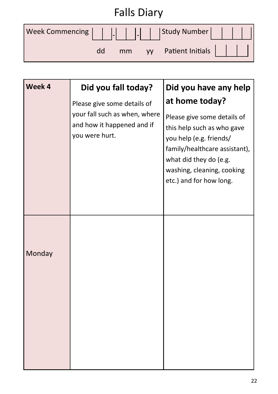| <b>Falls Diary</b>                            |    |  |  |                        |  |
|-----------------------------------------------|----|--|--|------------------------|--|
| Week Commencing                  Study Number |    |  |  |                        |  |
|                                               | dd |  |  | mm yy Patient Initials |  |

| Week 4 | Did you fall today?                                                           | Did you have any help                                                                                                                                                                                    |
|--------|-------------------------------------------------------------------------------|----------------------------------------------------------------------------------------------------------------------------------------------------------------------------------------------------------|
|        | Please give some details of                                                   | at home today?                                                                                                                                                                                           |
|        | your fall such as when, where<br>and how it happened and if<br>you were hurt. | Please give some details of<br>this help such as who gave<br>you help (e.g. friends/<br>family/healthcare assistant),<br>what did they do (e.g.<br>washing, cleaning, cooking<br>etc.) and for how long. |
|        |                                                                               |                                                                                                                                                                                                          |
| Monday |                                                                               |                                                                                                                                                                                                          |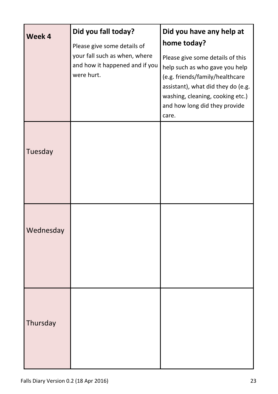| Week 4    | Did you fall today?                                                           | Did you have any help at                                                                                                                                                                                                  |
|-----------|-------------------------------------------------------------------------------|---------------------------------------------------------------------------------------------------------------------------------------------------------------------------------------------------------------------------|
|           | Please give some details of                                                   | home today?                                                                                                                                                                                                               |
|           | your fall such as when, where<br>and how it happened and if you<br>were hurt. | Please give some details of this<br>help such as who gave you help<br>(e.g. friends/family/healthcare<br>assistant), what did they do (e.g.<br>washing, cleaning, cooking etc.)<br>and how long did they provide<br>care. |
| Tuesday   |                                                                               |                                                                                                                                                                                                                           |
| Wednesday |                                                                               |                                                                                                                                                                                                                           |
| Thursday  |                                                                               |                                                                                                                                                                                                                           |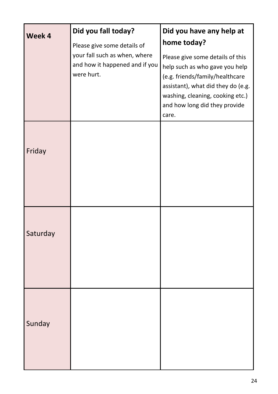| Week 4                                                                        | Did you fall today?<br>Please give some details of | Did you have any help at<br>home today?                                                                                                                                                                                   |
|-------------------------------------------------------------------------------|----------------------------------------------------|---------------------------------------------------------------------------------------------------------------------------------------------------------------------------------------------------------------------------|
| your fall such as when, where<br>and how it happened and if you<br>were hurt. |                                                    | Please give some details of this<br>help such as who gave you help<br>(e.g. friends/family/healthcare<br>assistant), what did they do (e.g.<br>washing, cleaning, cooking etc.)<br>and how long did they provide<br>care. |
| Friday                                                                        |                                                    |                                                                                                                                                                                                                           |
| Saturday                                                                      |                                                    |                                                                                                                                                                                                                           |
| Sunday                                                                        |                                                    |                                                                                                                                                                                                                           |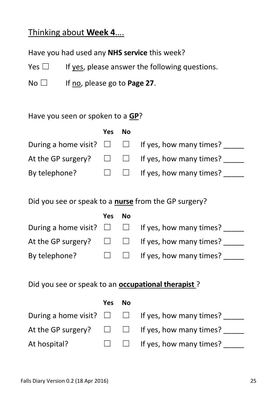#### Thinking about **Week 4**….

Have you had used any **NHS service** this week?

Yes  $\Box$  If yes, please answer the following questions.

No ☐ If no, please go to **Page 27**.

#### Have you seen or spoken to a **GP**?

|               | Yes No |                                                                  |
|---------------|--------|------------------------------------------------------------------|
|               |        | During a home visit? $\square$ $\square$ If yes, how many times? |
|               |        | At the GP surgery? $\square$ $\square$ If yes, how many times?   |
| By telephone? |        | $\square$ $\square$ If yes, how many times?                      |

Did you see or speak to a **nurse** from the GP surgery?

|               | Yes No |                                                                  |
|---------------|--------|------------------------------------------------------------------|
|               |        | During a home visit? $\square$ $\square$ If yes, how many times? |
|               |        | At the GP surgery? $\square$ $\square$ If yes, how many times?   |
| By telephone? |        | $\Box$ If yes, how many times?                                   |

|              | Yes No |                                                                  |
|--------------|--------|------------------------------------------------------------------|
|              |        | During a home visit? $\square$ $\square$ If yes, how many times? |
|              |        | At the GP surgery? $\square$ $\square$ If yes, how many times?   |
| At hospital? |        | $\Box$ If yes, how many times?                                   |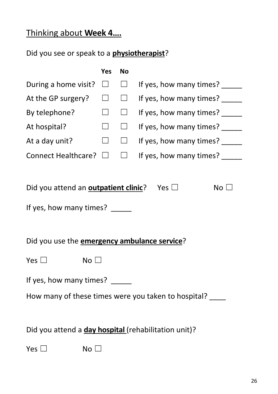# Thinking about **Week 4….**

|                                                                                                                                                                  | Yes    | No     |                         |  |  |  |  |
|------------------------------------------------------------------------------------------------------------------------------------------------------------------|--------|--------|-------------------------|--|--|--|--|
| During a home visit?                                                                                                                                             | ⊔      | $\Box$ | If yes, how many times? |  |  |  |  |
| At the GP surgery?                                                                                                                                               | $\sim$ | $\Box$ | If yes, how many times? |  |  |  |  |
| By telephone?                                                                                                                                                    | $\Box$ | $\Box$ | If yes, how many times? |  |  |  |  |
| At hospital?                                                                                                                                                     | $\Box$ | $\Box$ | If yes, how many times? |  |  |  |  |
| At a day unit?                                                                                                                                                   | $\Box$ | $\Box$ | If yes, how many times? |  |  |  |  |
| Connect Healthcare? □                                                                                                                                            |        | $\Box$ | If yes, how many times? |  |  |  |  |
| Did you attend an <b>outpatient clinic</b> ? Yes $\Box$<br>No $\square$<br>If yes, how many times? _____<br>Did you use the <b>emergency ambulance service</b> ? |        |        |                         |  |  |  |  |
| Yes $\Box$<br>No $\square$                                                                                                                                       |        |        |                         |  |  |  |  |
| If yes, how many times?<br>How many of these times were you taken to hospital? ____                                                                              |        |        |                         |  |  |  |  |
| Did you attend a day hospital (rehabilitation unit)?                                                                                                             |        |        |                         |  |  |  |  |
| Yes $\Box$<br>No $\square$                                                                                                                                       |        |        |                         |  |  |  |  |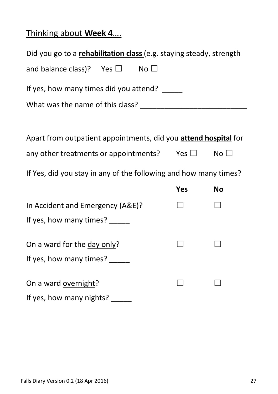# Thinking about **Week 4**….

| Did you go to a rehabilitation class (e.g. staying steady, strength |            |              |  |  |  |  |  |  |
|---------------------------------------------------------------------|------------|--------------|--|--|--|--|--|--|
| and balance class)? Yes $\square$<br>No $\square$                   |            |              |  |  |  |  |  |  |
| If yes, how many times did you attend?                              |            |              |  |  |  |  |  |  |
|                                                                     |            |              |  |  |  |  |  |  |
|                                                                     |            |              |  |  |  |  |  |  |
| Apart from outpatient appointments, did you attend hospital for     |            |              |  |  |  |  |  |  |
| any other treatments or appointments? Yes $\square$                 |            | No $\square$ |  |  |  |  |  |  |
| If Yes, did you stay in any of the following and how many times?    |            |              |  |  |  |  |  |  |
|                                                                     | <b>Yes</b> | <b>No</b>    |  |  |  |  |  |  |
| In Accident and Emergency (A&E)?                                    |            |              |  |  |  |  |  |  |
| If yes, how many times?                                             |            |              |  |  |  |  |  |  |
| On a ward for the day only?                                         |            |              |  |  |  |  |  |  |
| If yes, how many times? _____                                       |            |              |  |  |  |  |  |  |
| On a ward overnight?                                                |            |              |  |  |  |  |  |  |
| If yes, how many nights?                                            |            |              |  |  |  |  |  |  |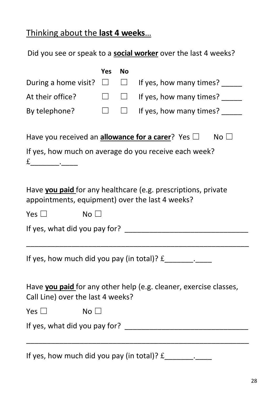### Thinking about the **last 4 weeks**…

Did you see or speak to a **social worker** over the last 4 weeks?

|                                                                                                                  | Yes    | <b>No</b> |                                                                   |  |  |  |  |  |
|------------------------------------------------------------------------------------------------------------------|--------|-----------|-------------------------------------------------------------------|--|--|--|--|--|
| During a home visit?                                                                                             | $\Box$ | $\Box$    | If yes, how many times?                                           |  |  |  |  |  |
| At their office?                                                                                                 |        | $\Box$    | If yes, how many times?                                           |  |  |  |  |  |
| By telephone?                                                                                                    | $\Box$ | $\Box$    | If yes, how many times? _____                                     |  |  |  |  |  |
| Have you received an <b>allowance for a carer</b> ? Yes $\Box$<br>No <sub>1</sub>                                |        |           |                                                                   |  |  |  |  |  |
|                                                                                                                  |        |           | If yes, how much on average do you receive each week?             |  |  |  |  |  |
| Have you paid for any healthcare (e.g. prescriptions, private<br>appointments, equipment) over the last 4 weeks? |        |           |                                                                   |  |  |  |  |  |
| Yes $\Box$<br>No $\square$                                                                                       |        |           |                                                                   |  |  |  |  |  |
|                                                                                                                  |        |           |                                                                   |  |  |  |  |  |
|                                                                                                                  |        |           | If yes, how much did you pay (in total)? $f_$                     |  |  |  |  |  |
| Call Line) over the last 4 weeks?                                                                                |        |           | Have you paid for any other help (e.g. cleaner, exercise classes, |  |  |  |  |  |
| Yes $\Box$<br>No $\square$                                                                                       |        |           |                                                                   |  |  |  |  |  |
|                                                                                                                  |        |           |                                                                   |  |  |  |  |  |
| If yes, how much did you pay (in total)? $f$                                                                     |        |           | $\overline{\phantom{a}}$                                          |  |  |  |  |  |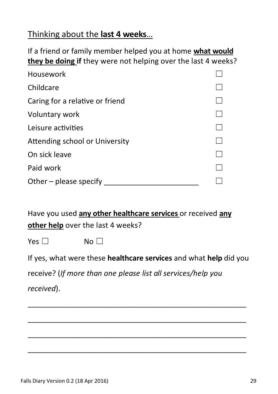#### Thinking about the **last 4 weeks**…

If a friend or family member helped you at home **what would they be doing if** they were not helping over the last 4 weeks?

| Housework                       |  |
|---------------------------------|--|
| Childcare                       |  |
| Caring for a relative or friend |  |
| Voluntary work                  |  |
| Leisure activities              |  |
| Attending school or University  |  |
| On sick leave                   |  |
| Paid work                       |  |
| Other - please specify          |  |

Have you used **any other healthcare services** or received **any other help** over the last 4 weeks?

Yes <del>□</del> No □

If yes, what were these **healthcare services** and what **help** did you

\_\_\_\_\_\_\_\_\_\_\_\_\_\_\_\_\_\_\_\_\_\_\_\_\_\_\_\_\_\_\_\_\_\_\_\_\_\_\_\_\_\_\_\_\_\_\_\_\_\_\_\_\_

\_\_\_\_\_\_\_\_\_\_\_\_\_\_\_\_\_\_\_\_\_\_\_\_\_\_\_\_\_\_\_\_\_\_\_\_\_\_\_\_\_\_\_\_\_\_\_\_\_\_\_\_\_

\_\_\_\_\_\_\_\_\_\_\_\_\_\_\_\_\_\_\_\_\_\_\_\_\_\_\_\_\_\_\_\_\_\_\_\_\_\_\_\_\_\_\_\_\_\_\_\_\_\_\_\_\_

\_\_\_\_\_\_\_\_\_\_\_\_\_\_\_\_\_\_\_\_\_\_\_\_\_\_\_\_\_\_\_\_\_\_\_\_\_\_\_\_\_\_\_\_\_\_\_\_\_\_\_\_\_

receive? (*If more than one please list all services/help you* 

*received*).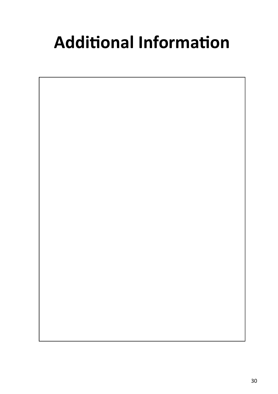# **Additional Information**